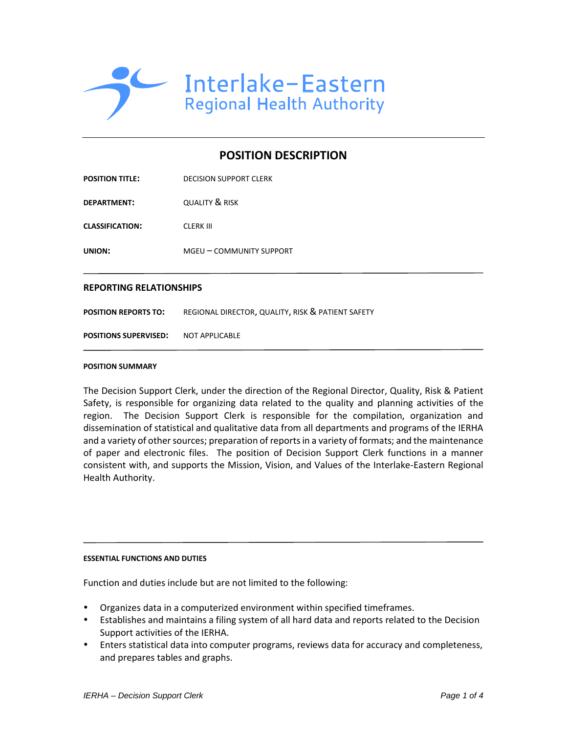

# **POSITION DESCRIPTION**

| <b>POSITION TITLE:</b> | <b>DECISION SUPPORT CLERK</b> |
|------------------------|-------------------------------|
| <b>DEPARTMENT:</b>     | <b>QUALITY &amp; RISK</b>     |
| <b>CLASSIFICATION:</b> | <b>CLERK III</b>              |
| <b>UNION:</b>          | MGEU – COMMUNITY SUPPORT      |
|                        |                               |

## **REPORTING RELATIONSHIPS**

**POSITION REPORTS TO:** REGIONAL DIRECTOR, QUALITY, RISK & PATIENT SAFETY

**POSITIONS SUPERVISED:** NOT APPLICABLE

#### **POSITION SUMMARY**

The Decision Support Clerk, under the direction of the Regional Director, Quality, Risk & Patient Safety, is responsible for organizing data related to the quality and planning activities of the region. The Decision Support Clerk is responsible for the compilation, organization and dissemination of statistical and qualitative data from all departments and programs of the IERHA and a variety of other sources; preparation of reports in a variety of formats; and the maintenance of paper and electronic files. The position of Decision Support Clerk functions in a manner consistent with, and supports the Mission, Vision, and Values of the Interlake-Eastern Regional Health Authority.

#### **ESSENTIAL FUNCTIONS AND DUTIES**

Function and duties include but are not limited to the following:

- Organizes data in a computerized environment within specified timeframes.
- Establishes and maintains a filing system of all hard data and reports related to the Decision Support activities of the IERHA.
- Enters statistical data into computer programs, reviews data for accuracy and completeness, and prepares tables and graphs.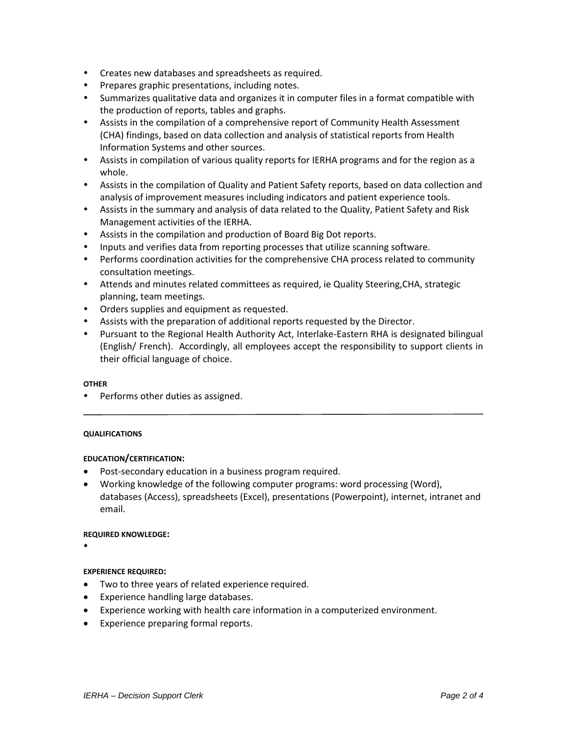- Creates new databases and spreadsheets as required.
- Prepares graphic presentations, including notes.
- Summarizes qualitative data and organizes it in computer files in a format compatible with the production of reports, tables and graphs.
- Assists in the compilation of a comprehensive report of Community Health Assessment (CHA) findings, based on data collection and analysis of statistical reports from Health Information Systems and other sources.
- Assists in compilation of various quality reports for IERHA programs and for the region as a whole.
- Assists in the compilation of Quality and Patient Safety reports, based on data collection and analysis of improvement measures including indicators and patient experience tools.
- Assists in the summary and analysis of data related to the Quality, Patient Safety and Risk Management activities of the IERHA.
- Assists in the compilation and production of Board Big Dot reports.
- Inputs and verifies data from reporting processes that utilize scanning software.
- Performs coordination activities for the comprehensive CHA process related to community consultation meetings.
- Attends and minutes related committees as required, ie Quality Steering,CHA, strategic planning, team meetings.
- Orders supplies and equipment as requested.
- Assists with the preparation of additional reports requested by the Director.
- Pursuant to the Regional Health Authority Act, Interlake-Eastern RHA is designated bilingual (English/ French). Accordingly, all employees accept the responsibility to support clients in their official language of choice.

## **OTHER**

Performs other duties as assigned.

## **QUALIFICATIONS**

# **EDUCATION/CERTIFICATION:**

- Post-secondary education in a business program required.
- Working knowledge of the following computer programs: word processing (Word), databases (Access), spreadsheets (Excel), presentations (Powerpoint), internet, intranet and email.

## **REQUIRED KNOWLEDGE:**

 $\bullet$ 

## **EXPERIENCE REQUIRED:**

- Two to three years of related experience required.
- Experience handling large databases.
- Experience working with health care information in a computerized environment.
- Experience preparing formal reports.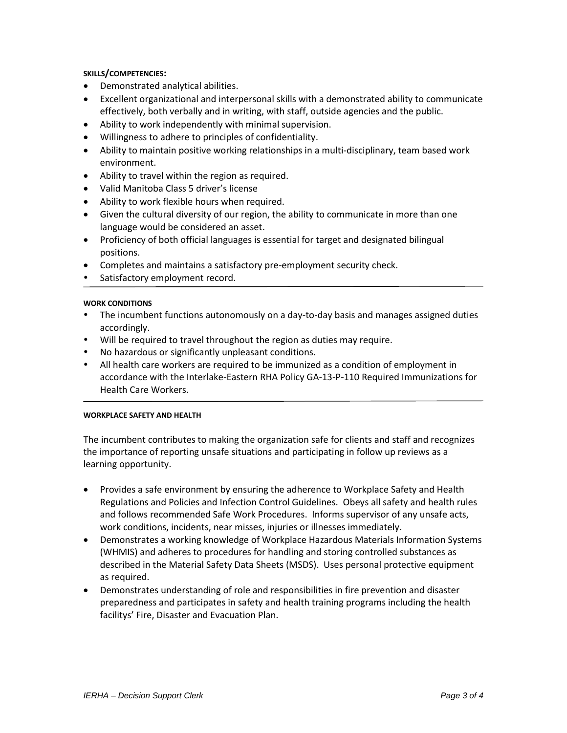## **SKILLS/COMPETENCIES:**

- Demonstrated analytical abilities.
- Excellent organizational and interpersonal skills with a demonstrated ability to communicate effectively, both verbally and in writing, with staff, outside agencies and the public.
- Ability to work independently with minimal supervision.
- Willingness to adhere to principles of confidentiality.
- Ability to maintain positive working relationships in a multi-disciplinary, team based work environment.
- Ability to travel within the region as required.
- Valid Manitoba Class 5 driver's license
- Ability to work flexible hours when required.
- Given the cultural diversity of our region, the ability to communicate in more than one language would be considered an asset.
- Proficiency of both official languages is essential for target and designated bilingual positions.
- Completes and maintains a satisfactory pre-employment security check.
- Satisfactory employment record.

## **WORK CONDITIONS**

- The incumbent functions autonomously on a day-to-day basis and manages assigned duties accordingly.
- Will be required to travel throughout the region as duties may require.
- No hazardous or significantly unpleasant conditions.
- All health care workers are required to be immunized as a condition of employment in accordance with the Interlake-Eastern RHA Policy GA-13-P-110 Required Immunizations for Health Care Workers.

## **WORKPLACE SAFETY AND HEALTH**

The incumbent contributes to making the organization safe for clients and staff and recognizes the importance of reporting unsafe situations and participating in follow up reviews as a learning opportunity.

- Provides a safe environment by ensuring the adherence to Workplace Safety and Health Regulations and Policies and Infection Control Guidelines. Obeys all safety and health rules and follows recommended Safe Work Procedures. Informs supervisor of any unsafe acts, work conditions, incidents, near misses, injuries or illnesses immediately.
- Demonstrates a working knowledge of Workplace Hazardous Materials Information Systems (WHMIS) and adheres to procedures for handling and storing controlled substances as described in the Material Safety Data Sheets (MSDS). Uses personal protective equipment as required.
- Demonstrates understanding of role and responsibilities in fire prevention and disaster preparedness and participates in safety and health training programs including the health facilitys' Fire, Disaster and Evacuation Plan.